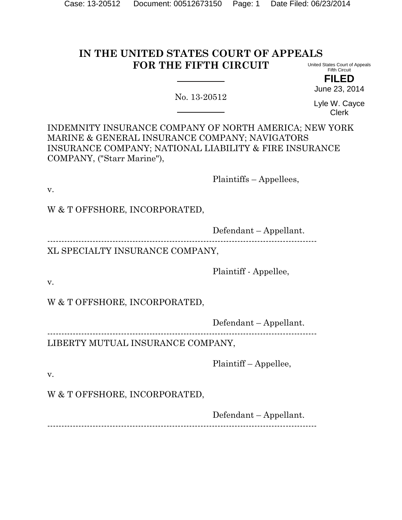# **IN THE UNITED STATES COURT OF APPEALS FOR THE FIFTH CIRCUIT**

No. 13-20512

United States Court of Appeals Fifth Circuit **FILED**

June 23, 2014

Lyle W. Cayce Clerk

INDEMNITY INSURANCE COMPANY OF NORTH AMERICA; NEW YORK MARINE & GENERAL INSURANCE COMPANY; NAVIGATORS INSURANCE COMPANY; NATIONAL LIABILITY & FIRE INSURANCE COMPANY, ("Starr Marine"),

Plaintiffs – Appellees,

v.

W & T OFFSHORE, INCORPORATED,

Defendant – Appellant.

-----------------------------------------------------------------------------------------------

XL SPECIALTY INSURANCE COMPANY,

Plaintiff - Appellee,

v.

W & T OFFSHORE, INCORPORATED,

Defendant – Appellant.

----------------------------------------------------------------------------------------------- LIBERTY MUTUAL INSURANCE COMPANY,

Plaintiff – Appellee,

v.

W & T OFFSHORE, INCORPORATED,

Defendant – Appellant.

-----------------------------------------------------------------------------------------------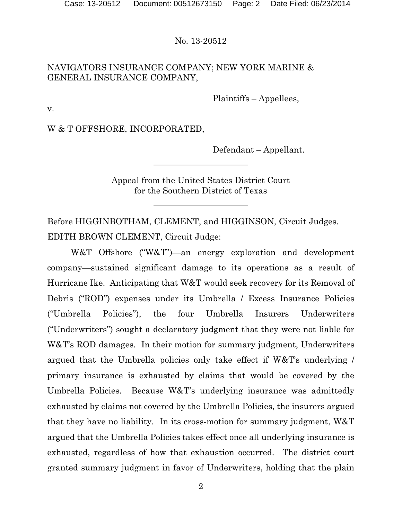## NAVIGATORS INSURANCE COMPANY; NEW YORK MARINE & GENERAL INSURANCE COMPANY,

Plaintiffs – Appellees,

v.

W & T OFFSHORE, INCORPORATED,

Defendant – Appellant.

Appeal from the United States District Court for the Southern District of Texas

Before HIGGINBOTHAM, CLEMENT, and HIGGINSON, Circuit Judges. EDITH BROWN CLEMENT, Circuit Judge:

W&T Offshore ("W&T")—an energy exploration and development company—sustained significant damage to its operations as a result of Hurricane Ike. Anticipating that W&T would seek recovery for its Removal of Debris ("ROD") expenses under its Umbrella / Excess Insurance Policies ("Umbrella Policies"), the four Umbrella Insurers Underwriters ("Underwriters") sought a declaratory judgment that they were not liable for W&T's ROD damages. In their motion for summary judgment, Underwriters argued that the Umbrella policies only take effect if W&T's underlying / primary insurance is exhausted by claims that would be covered by the Umbrella Policies. Because W&T's underlying insurance was admittedly exhausted by claims not covered by the Umbrella Policies, the insurers argued that they have no liability. In its cross-motion for summary judgment, W&T argued that the Umbrella Policies takes effect once all underlying insurance is exhausted, regardless of how that exhaustion occurred. The district court granted summary judgment in favor of Underwriters, holding that the plain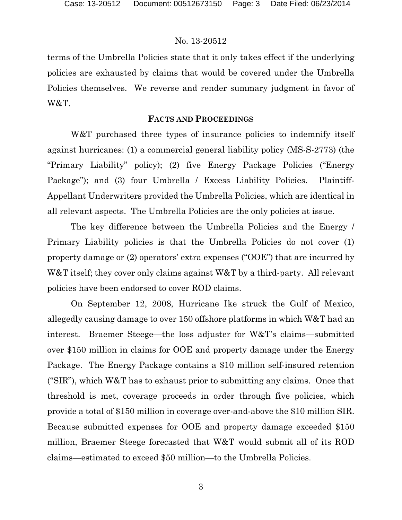terms of the Umbrella Policies state that it only takes effect if the underlying policies are exhausted by claims that would be covered under the Umbrella Policies themselves. We reverse and render summary judgment in favor of W&T.

#### **FACTS AND PROCEEDINGS**

W&T purchased three types of insurance policies to indemnify itself against hurricanes: (1) a commercial general liability policy (MS-S-2773) (the "Primary Liability" policy); (2) five Energy Package Policies ("Energy Package"); and (3) four Umbrella / Excess Liability Policies. Plaintiff-Appellant Underwriters provided the Umbrella Policies, which are identical in all relevant aspects. The Umbrella Policies are the only policies at issue.

The key difference between the Umbrella Policies and the Energy / Primary Liability policies is that the Umbrella Policies do not cover (1) property damage or (2) operators' extra expenses ("OOE") that are incurred by W&T itself; they cover only claims against W&T by a third-party. All relevant policies have been endorsed to cover ROD claims.

On September 12, 2008, Hurricane Ike struck the Gulf of Mexico, allegedly causing damage to over 150 offshore platforms in which W&T had an interest. Braemer Steege—the loss adjuster for W&T's claims—submitted over \$150 million in claims for OOE and property damage under the Energy Package. The Energy Package contains a \$10 million self-insured retention ("SIR"), which W&T has to exhaust prior to submitting any claims. Once that threshold is met, coverage proceeds in order through five policies, which provide a total of \$150 million in coverage over-and-above the \$10 million SIR. Because submitted expenses for OOE and property damage exceeded \$150 million, Braemer Steege forecasted that W&T would submit all of its ROD claims—estimated to exceed \$50 million—to the Umbrella Policies.

3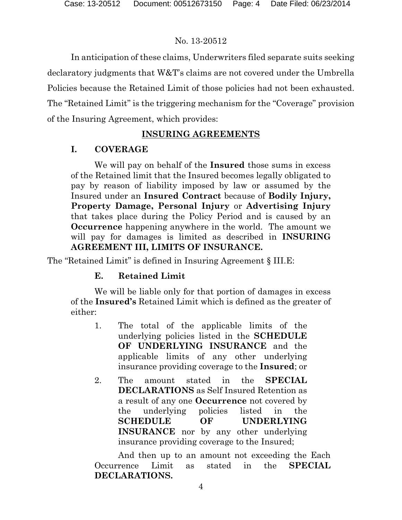In anticipation of these claims, Underwriters filed separate suits seeking declaratory judgments that W&T's claims are not covered under the Umbrella Policies because the Retained Limit of those policies had not been exhausted. The "Retained Limit" is the triggering mechanism for the "Coverage" provision of the Insuring Agreement, which provides:

# **INSURING AGREEMENTS**

# **I. COVERAGE**

We will pay on behalf of the **Insured** those sums in excess of the Retained limit that the Insured becomes legally obligated to pay by reason of liability imposed by law or assumed by the Insured under an **Insured Contract** because of **Bodily Injury, Property Damage, Personal Injury** or **Advertising Injury** that takes place during the Policy Period and is caused by an **Occurrence** happening anywhere in the world. The amount we will pay for damages is limited as described in **INSURING AGREEMENT III, LIMITS OF INSURANCE.**

The "Retained Limit" is defined in Insuring Agreement § III.E:

# **E. Retained Limit**

We will be liable only for that portion of damages in excess of the **Insured's** Retained Limit which is defined as the greater of either:

- 1. The total of the applicable limits of the underlying policies listed in the **SCHEDULE OF UNDERLYING INSURANCE** and the applicable limits of any other underlying insurance providing coverage to the **Insured**; or
- 2. The amount stated in the **SPECIAL DECLARATIONS** as Self Insured Retention as a result of any one **Occurrence** not covered by the underlying policies listed in the **SCHEDULE OF UNDERLYING INSURANCE** nor by any other underlying insurance providing coverage to the Insured;

And then up to an amount not exceeding the Each Occurrence Limit as stated in the **SPECIAL DECLARATIONS.**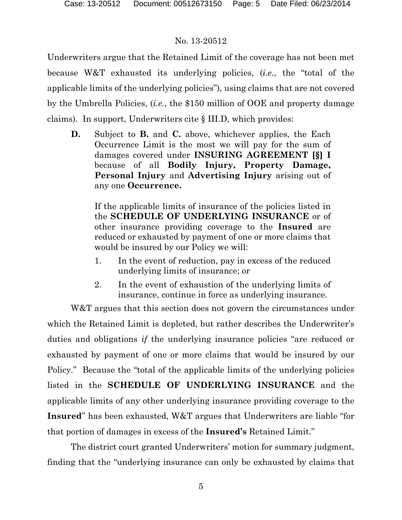Underwriters argue that the Retained Limit of the coverage has not been met because W&T exhausted its underlying policies, (*i.e.*, the "total of the applicable limits of the underlying policies"), using claims that are not covered by the Umbrella Policies, (*i.e.*, the \$150 million of OOE and property damage claims). In support, Underwriters cite § III.D, which provides:

**D.** Subject to **B.** and **C.** above, whichever applies, the Each Occurrence Limit is the most we will pay for the sum of damages covered under **INSURING AGREEMENT [§] I** because of all **Bodily Injury, Property Damage, Personal Injury** and **Advertising Injury** arising out of any one **Occurrence.**

If the applicable limits of insurance of the policies listed in the **SCHEDULE OF UNDERLYING INSURANCE** or of other insurance providing coverage to the **Insured** are reduced or exhausted by payment of one or more claims that would be insured by our Policy we will:

- 1. In the event of reduction, pay in excess of the reduced underlying limits of insurance; or
- 2. In the event of exhaustion of the underlying limits of insurance, continue in force as underlying insurance.

W&T argues that this section does not govern the circumstances under which the Retained Limit is depleted, but rather describes the Underwriter's duties and obligations *if* the underlying insurance policies "are reduced or exhausted by payment of one or more claims that would be insured by our Policy." Because the "total of the applicable limits of the underlying policies listed in the **SCHEDULE OF UNDERLYING INSURANCE** and the applicable limits of any other underlying insurance providing coverage to the **Insured**" has been exhausted, W&T argues that Underwriters are liable "for that portion of damages in excess of the **Insured's** Retained Limit."

The district court granted Underwriters' motion for summary judgment, finding that the "underlying insurance can only be exhausted by claims that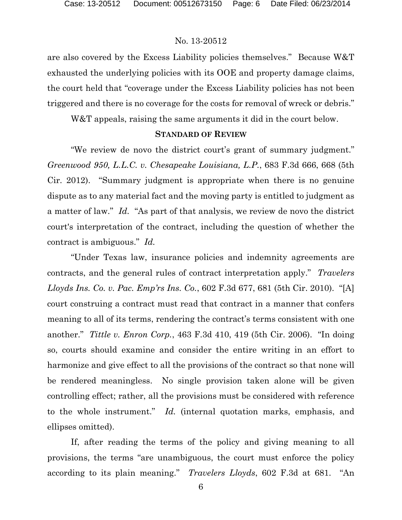are also covered by the Excess Liability policies themselves." Because W&T exhausted the underlying policies with its OOE and property damage claims, the court held that "coverage under the Excess Liability policies has not been triggered and there is no coverage for the costs for removal of wreck or debris."

W&T appeals, raising the same arguments it did in the court below.

#### **STANDARD OF REVIEW**

"We review de novo the district court's grant of summary judgment." *Greenwood 950, L.L.C. v. Chesapeake Louisiana, L.P.*, 683 F.3d 666, 668 (5th Cir. 2012). "Summary judgment is appropriate when there is no genuine dispute as to any material fact and the moving party is entitled to judgment as a matter of law." *Id.* "As part of that analysis, we review de novo the district court's interpretation of the contract, including the question of whether the contract is ambiguous." *Id.*

"Under Texas law, insurance policies and indemnity agreements are contracts, and the general rules of contract interpretation apply." *Travelers Lloyds Ins. Co. v. Pac. Emp'rs Ins. Co.*, 602 F.3d 677, 681 (5th Cir. 2010). "[A] court construing a contract must read that contract in a manner that confers meaning to all of its terms, rendering the contract's terms consistent with one another." *Tittle v. Enron Corp.*, 463 F.3d 410, 419 (5th Cir. 2006). "In doing so, courts should examine and consider the entire writing in an effort to harmonize and give effect to all the provisions of the contract so that none will be rendered meaningless. No single provision taken alone will be given controlling effect; rather, all the provisions must be considered with reference to the whole instrument." *Id.* (internal quotation marks, emphasis, and ellipses omitted).

If, after reading the terms of the policy and giving meaning to all provisions, the terms "are unambiguous, the court must enforce the policy according to its plain meaning." *Travelers Lloyds*, 602 F.3d at 681. "An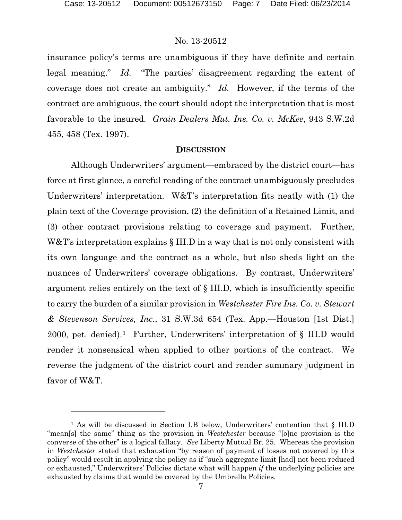$\overline{a}$ 

#### No. 13-20512

insurance policy's terms are unambiguous if they have definite and certain legal meaning." *Id.* "The parties' disagreement regarding the extent of coverage does not create an ambiguity." *Id.* However, if the terms of the contract are ambiguous, the court should adopt the interpretation that is most favorable to the insured. *Grain Dealers Mut. Ins. Co. v. McKee*, 943 S.W.2d 455, 458 (Tex. 1997).

#### **DISCUSSION**

Although Underwriters' argument—embraced by the district court—has force at first glance, a careful reading of the contract unambiguously precludes Underwriters' interpretation. W&T's interpretation fits neatly with (1) the plain text of the Coverage provision, (2) the definition of a Retained Limit, and (3) other contract provisions relating to coverage and payment. Further, W&T's interpretation explains  $\S$  III.D in a way that is not only consistent with its own language and the contract as a whole, but also sheds light on the nuances of Underwriters' coverage obligations. By contrast, Underwriters' argument relies entirely on the text of § III.D, which is insufficiently specific to carry the burden of a similar provision in *Westchester Fire Ins. Co. v. Stewart & Stevenson Services, Inc.*, 31 S.W.3d 654 (Tex. App.—Houston [1st Dist.] 2000, pet. denied).<sup>1</sup> Further, Underwriters' interpretation of  $\S$  III.D would render it nonsensical when applied to other portions of the contract. We reverse the judgment of the district court and render summary judgment in favor of W&T.

<span id="page-6-0"></span><sup>&</sup>lt;sup>1</sup> As will be discussed in Section I.B below, Underwriters' contention that § III.D "mean[s] the same" thing as the provision in *Westchester* because "[o]ne provision is the converse of the other" is a logical fallacy. *See* Liberty Mutual Br. 25. Whereas the provision in *Westchester* stated that exhaustion "by reason of payment of losses not covered by this policy" would result in applying the policy as if "such aggregate limit [had] not been reduced or exhausted," Underwriters' Policies dictate what will happen *if* the underlying policies are exhausted by claims that would be covered by the Umbrella Policies.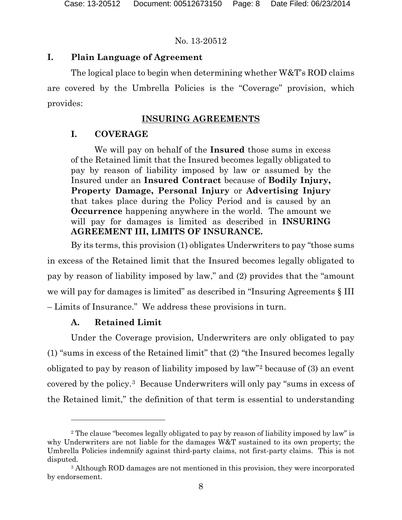## **I. Plain Language of Agreement**

The logical place to begin when determining whether W&T's ROD claims are covered by the Umbrella Policies is the "Coverage" provision, which provides:

# **INSURING AGREEMENTS**

# **I. COVERAGE**

We will pay on behalf of the **Insured** those sums in excess of the Retained limit that the Insured becomes legally obligated to pay by reason of liability imposed by law or assumed by the Insured under an **Insured Contract** because of **Bodily Injury, Property Damage, Personal Injury** or **Advertising Injury** that takes place during the Policy Period and is caused by an **Occurrence** happening anywhere in the world. The amount we will pay for damages is limited as described in **INSURING AGREEMENT III, LIMITS OF INSURANCE.**

By its terms, this provision (1) obligates Underwriters to pay "those sums in excess of the Retained limit that the Insured becomes legally obligated to pay by reason of liability imposed by law," and (2) provides that the "amount we will pay for damages is limited" as described in "Insuring Agreements  $\S$  III – Limits of Insurance." We address these provisions in turn.

## **A. Retained Limit**

 $\overline{a}$ 

Under the Coverage provision, Underwriters are only obligated to pay (1) "sums in excess of the Retained limit" that (2) "the Insured becomes legally obligated to pay by reason of liability imposed by law"[2](#page-7-0) because of (3) an event covered by the policy.[3](#page-7-1) Because Underwriters will only pay "sums in excess of the Retained limit," the definition of that term is essential to understanding

<span id="page-7-0"></span><sup>&</sup>lt;sup>2</sup> The clause "becomes legally obligated to pay by reason of liability imposed by law" is why Underwriters are not liable for the damages W&T sustained to its own property; the Umbrella Policies indemnify against third-party claims, not first-party claims. This is not disputed.

<span id="page-7-1"></span><sup>3</sup> Although ROD damages are not mentioned in this provision, they were incorporated by endorsement.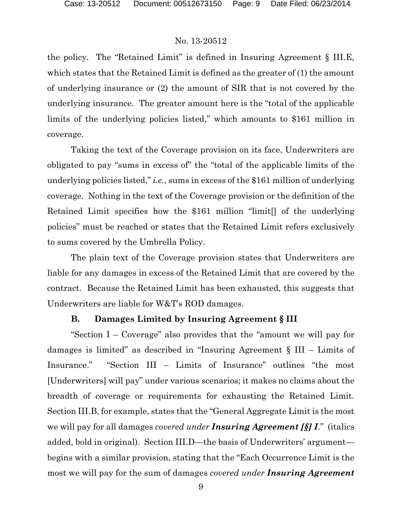the policy. The "Retained Limit" is defined in Insuring Agreement § III.E, which states that the Retained Limit is defined as the greater of (1) the amount of underlying insurance or (2) the amount of SIR that is not covered by the underlying insurance. The greater amount here is the "total of the applicable limits of the underlying policies listed," which amounts to \$161 million in coverage.

Taking the text of the Coverage provision on its face, Underwriters are obligated to pay "sums in excess of" the "total of the applicable limits of the underlying policies listed," *i.e.*, sums in excess of the \$161 million of underlying coverage. Nothing in the text of the Coverage provision or the definition of the Retained Limit specifies how the \$161 million "limit[] of the underlying policies" must be reached or states that the Retained Limit refers exclusively to sums covered by the Umbrella Policy.

The plain text of the Coverage provision states that Underwriters are liable for any damages in excess of the Retained Limit that are covered by the contract. Because the Retained Limit has been exhausted, this suggests that Underwriters are liable for W&T's ROD damages.

## **B. Damages Limited by Insuring Agreement § III**

"Section I – Coverage" also provides that the "amount we will pay for damages is limited" as described in "Insuring Agreement § III – Limits of Insurance." "Section III – Limits of Insurance" outlines "the most [Underwriters] will pay" under various scenarios; it makes no claims about the breadth of coverage or requirements for exhausting the Retained Limit. Section III.B, for example, states that the "General Aggregate Limit is the most we will pay for all damages *covered under Insuring Agreement [§] I*." (italics added, bold in original). Section III.D—the basis of Underwriters' argument begins with a similar provision, stating that the "Each Occurrence Limit is the most we will pay for the sum of damages *covered under Insuring Agreement*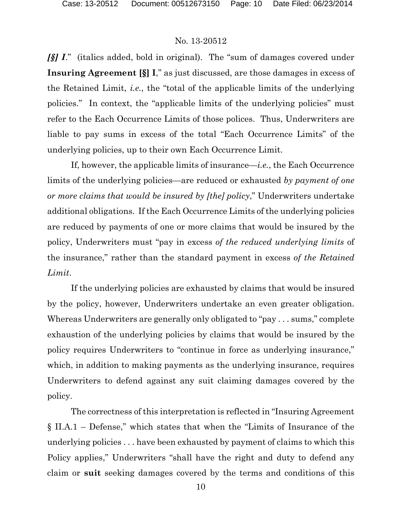*[§] I*." (italics added, bold in original). The "sum of damages covered under **Insuring Agreement [§] I**," as just discussed, are those damages in excess of the Retained Limit, *i.e.*, the "total of the applicable limits of the underlying policies." In context, the "applicable limits of the underlying policies" must refer to the Each Occurrence Limits of those polices. Thus, Underwriters are liable to pay sums in excess of the total "Each Occurrence Limits" of the underlying policies, up to their own Each Occurrence Limit.

If, however, the applicable limits of insurance—*i.e.*, the Each Occurrence limits of the underlying policies—are reduced or exhausted *by payment of one or more claims that would be insured by [the] policy*," Underwriters undertake additional obligations. If the Each Occurrence Limits of the underlying policies are reduced by payments of one or more claims that would be insured by the policy, Underwriters must "pay in excess *of the reduced underlying limits* of the insurance," rather than the standard payment in excess *of the Retained Limit*.

If the underlying policies are exhausted by claims that would be insured by the policy, however, Underwriters undertake an even greater obligation. Whereas Underwriters are generally only obligated to "pay . . . sums," complete exhaustion of the underlying policies by claims that would be insured by the policy requires Underwriters to "continue in force as underlying insurance," which, in addition to making payments as the underlying insurance, requires Underwriters to defend against any suit claiming damages covered by the policy.

The correctness of this interpretation is reflected in "Insuring Agreement § II.A.1 – Defense," which states that when the "Limits of Insurance of the underlying policies . . . have been exhausted by payment of claims to which this Policy applies," Underwriters "shall have the right and duty to defend any claim or **suit** seeking damages covered by the terms and conditions of this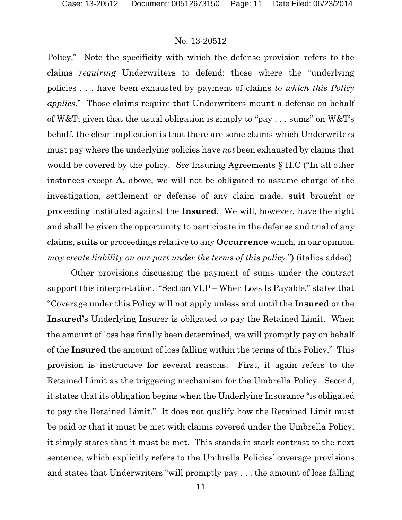Policy." Note the specificity with which the defense provision refers to the claims *requiring* Underwriters to defend: those where the "underlying policies . . . have been exhausted by payment of claims *to which this Policy applies*." Those claims require that Underwriters mount a defense on behalf of W&T; given that the usual obligation is simply to "pay . . . sums" on W&T's behalf, the clear implication is that there are some claims which Underwriters must pay where the underlying policies have *not* been exhausted by claims that would be covered by the policy. *See* Insuring Agreements § II.C ("In all other instances except **A.** above, we will not be obligated to assume charge of the investigation, settlement or defense of any claim made, **suit** brought or proceeding instituted against the **Insured**. We will, however, have the right and shall be given the opportunity to participate in the defense and trial of any claims, **suits** or proceedings relative to any **Occurrence** which, in our opinion, *may create liability on our part under the terms of this policy*.") (italics added).

Other provisions discussing the payment of sums under the contract support this interpretation. "Section VI.P – When Loss Is Payable," states that "Coverage under this Policy will not apply unless and until the **Insured** or the **Insured's** Underlying Insurer is obligated to pay the Retained Limit. When the amount of loss has finally been determined, we will promptly pay on behalf of the **Insured** the amount of loss falling within the terms of this Policy." This provision is instructive for several reasons. First, it again refers to the Retained Limit as the triggering mechanism for the Umbrella Policy. Second, it states that its obligation begins when the Underlying Insurance "is obligated to pay the Retained Limit." It does not qualify how the Retained Limit must be paid or that it must be met with claims covered under the Umbrella Policy; it simply states that it must be met. This stands in stark contrast to the next sentence, which explicitly refers to the Umbrella Policies' coverage provisions and states that Underwriters "will promptly pay . . . the amount of loss falling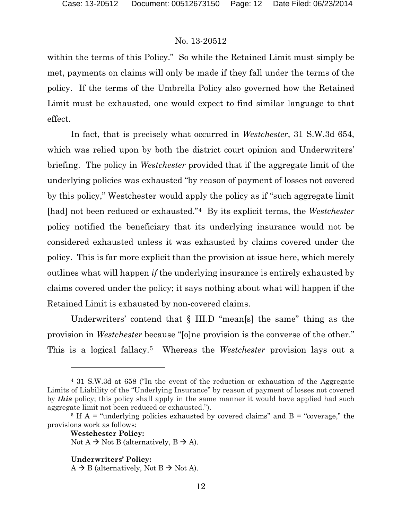within the terms of this Policy." So while the Retained Limit must simply be met, payments on claims will only be made if they fall under the terms of the policy. If the terms of the Umbrella Policy also governed how the Retained Limit must be exhausted, one would expect to find similar language to that effect.

In fact, that is precisely what occurred in *Westchester*, 31 S.W.3d 654, which was relied upon by both the district court opinion and Underwriters' briefing. The policy in *Westchester* provided that if the aggregate limit of the underlying policies was exhausted "by reason of payment of losses not covered by this policy," Westchester would apply the policy as if "such aggregate limit [had] not been reduced or exhausted."[4](#page-11-0) By its explicit terms, the *Westchester* policy notified the beneficiary that its underlying insurance would not be considered exhausted unless it was exhausted by claims covered under the policy. This is far more explicit than the provision at issue here, which merely outlines what will happen *if* the underlying insurance is entirely exhausted by claims covered under the policy; it says nothing about what will happen if the Retained Limit is exhausted by non-covered claims.

Underwriters' contend that § III.D "mean[s] the same" thing as the provision in *Westchester* because "[o]ne provision is the converse of the other." This is a logical fallacy.[5](#page-11-1) Whereas the *Westchester* provision lays out a

**Westchester Policy:** Not  $A \rightarrow$  Not B (alternatively,  $B \rightarrow A$ ).

#### **Underwriters' Policy:**

 $\overline{a}$ 

<span id="page-11-0"></span><sup>4</sup> 31 S.W.3d at 658 ("In the event of the reduction or exhaustion of the Aggregate Limits of Liability of the "Underlying Insurance" by reason of payment of losses not covered by *this* policy; this policy shall apply in the same manner it would have applied had such aggregate limit not been reduced or exhausted.").

<span id="page-11-1"></span><sup>&</sup>lt;sup>5</sup> If  $A =$  "underlying policies exhausted by covered claims" and  $B =$  "coverage," the provisions work as follows:

 $A \rightarrow B$  (alternatively, Not  $B \rightarrow$  Not A).